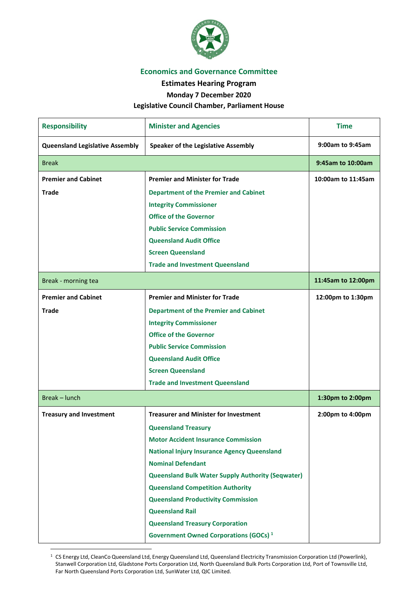

## **Economics and Governance Committee**

**Estimates Hearing Program** 

**Monday 7 December 2020**

## **Legislative Council Chamber, Parliament House**

| <b>Responsibility</b>                  | <b>Minister and Agencies</b>                             | <b>Time</b>        |
|----------------------------------------|----------------------------------------------------------|--------------------|
| <b>Queensland Legislative Assembly</b> | <b>Speaker of the Legislative Assembly</b>               | 9:00am to 9:45am   |
| <b>Break</b>                           |                                                          | 9:45am to 10:00am  |
| <b>Premier and Cabinet</b>             | <b>Premier and Minister for Trade</b>                    | 10:00am to 11:45am |
| <b>Trade</b>                           | <b>Department of the Premier and Cabinet</b>             |                    |
|                                        | <b>Integrity Commissioner</b>                            |                    |
|                                        | <b>Office of the Governor</b>                            |                    |
|                                        | <b>Public Service Commission</b>                         |                    |
|                                        | <b>Queensland Audit Office</b>                           |                    |
|                                        | <b>Screen Queensland</b>                                 |                    |
|                                        | <b>Trade and Investment Queensland</b>                   |                    |
| Break - morning tea                    |                                                          | 11:45am to 12:00pm |
| <b>Premier and Cabinet</b>             | <b>Premier and Minister for Trade</b>                    | 12:00pm to 1:30pm  |
| <b>Trade</b>                           | <b>Department of the Premier and Cabinet</b>             |                    |
|                                        | <b>Integrity Commissioner</b>                            |                    |
|                                        | <b>Office of the Governor</b>                            |                    |
|                                        | <b>Public Service Commission</b>                         |                    |
|                                        | <b>Queensland Audit Office</b>                           |                    |
|                                        | <b>Screen Queensland</b>                                 |                    |
|                                        | <b>Trade and Investment Queensland</b>                   |                    |
| Break - lunch                          |                                                          | 1:30pm to 2:00pm   |
| <b>Treasury and Investment</b>         | <b>Treasurer and Minister for Investment</b>             | 2:00pm to 4:00pm   |
|                                        | <b>Queensland Treasury</b>                               |                    |
|                                        | <b>Motor Accident Insurance Commission</b>               |                    |
|                                        | <b>National Injury Insurance Agency Queensland</b>       |                    |
|                                        | <b>Nominal Defendant</b>                                 |                    |
|                                        | <b>Queensland Bulk Water Supply Authority (Seqwater)</b> |                    |
|                                        | <b>Queensland Competition Authority</b>                  |                    |
|                                        | <b>Queensland Productivity Commission</b>                |                    |
|                                        | <b>Queensland Rail</b>                                   |                    |
|                                        | <b>Queensland Treasury Corporation</b>                   |                    |
|                                        | Government Owned Corporations (GOCs) <sup>1</sup>        |                    |

<span id="page-0-0"></span><sup>1</sup> CS Energy Ltd, CleanCo Queensland Ltd, Energy Queensland Ltd, Queensland Electricity Transmission Corporation Ltd (Powerlink), Stanwell Corporation Ltd, Gladstone Ports Corporation Ltd, North Queensland Bulk Ports Corporation Ltd, Port of Townsville Ltd, Far North Queensland Ports Corporation Ltd, SunWater Ltd, QIC Limited.

<u>.</u>